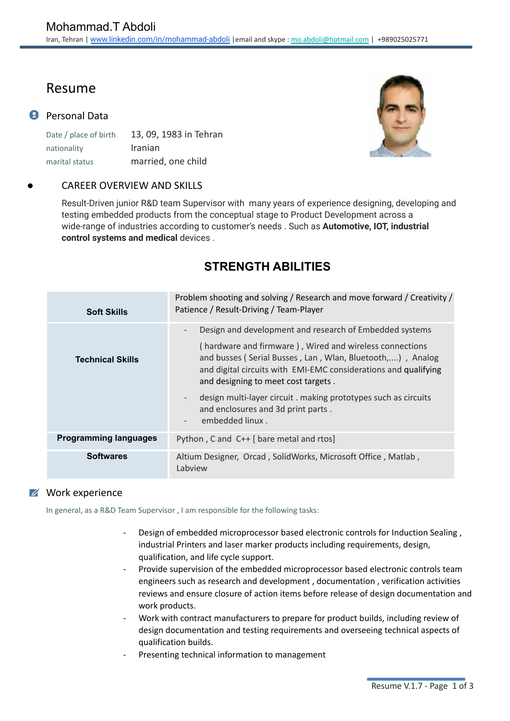# Resume

## **P** Personal Data

Date / place of birth 13, 09, 1983 in Tehran nationality Iranian marital status married, one child

## CAREER OVERVIEW AND SKILLS

Result-Driven junior R&D team Supervisor with many years of experience designing, developing and testing embedded products from the conceptual stage to Product Development across a wide-range of industries according to customer's needs . Such as **Automotive, IOT, industrial control systems and medical** devices .

# **STRENGTH ABILITIES**

| <b>Soft Skills</b>           | Problem shooting and solving / Research and move forward / Creativity /<br>Patience / Result-Driving / Team-Player                                                                                                             |
|------------------------------|--------------------------------------------------------------------------------------------------------------------------------------------------------------------------------------------------------------------------------|
|                              | Design and development and research of Embedded systems<br>$\qquad \qquad -$                                                                                                                                                   |
| <b>Technical Skills</b>      | (hardware and firmware), Wired and wireless connections<br>and busses (Serial Busses, Lan, Wlan, Bluetooth,), Analog<br>and digital circuits with EMI-EMC considerations and qualifying<br>and designing to meet cost targets. |
|                              | design multi-layer circuit. making prototypes such as circuits<br>$\overline{\phantom{a}}$<br>and enclosures and 3d print parts.<br>embedded linux.<br>$\overline{\phantom{0}}$                                                |
| <b>Programming languages</b> | Python, C and C++ [ bare metal and rtos]                                                                                                                                                                                       |
| <b>Softwares</b>             | Altium Designer, Orcad, SolidWorks, Microsoft Office, Matlab,<br>Labview                                                                                                                                                       |

### **Work experience**

In general, as a R&D Team Supervisor , I am responsible for the following tasks:

- Design of embedded microprocessor based electronic controls for Induction Sealing , industrial Printers and laser marker products including requirements, design, qualification, and life cycle support.
- Provide supervision of the embedded microprocessor based electronic controls team engineers such as research and development , documentation , verification activities reviews and ensure closure of action items before release of design documentation and work products.
- Work with contract manufacturers to prepare for product builds, including review of design documentation and testing requirements and overseeing technical aspects of qualification builds.
- Presenting technical information to management

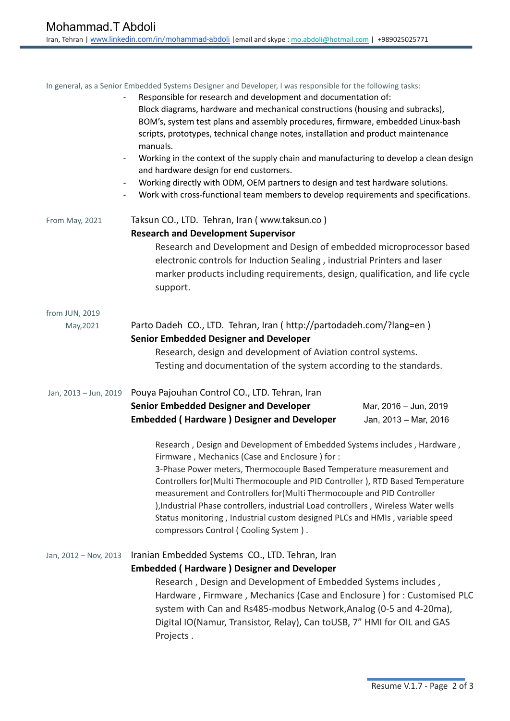In general, as a Senior Embedded Systems Designer and Developer, I was responsible for the following tasks: - Responsible for research and development and documentation of:

| $\qquad \qquad \blacksquare$<br>$\qquad \qquad \blacksquare$<br>$\overline{\phantom{a}}$ | Block diagrams, hardware and mechanical constructions (housing and subracks),<br>BOM's, system test plans and assembly procedures, firmware, embedded Linux-bash<br>scripts, prototypes, technical change notes, installation and product maintenance<br>manuals.<br>Working in the context of the supply chain and manufacturing to develop a clean design<br>and hardware design for end customers.<br>Working directly with ODM, OEM partners to design and test hardware solutions.<br>Work with cross-functional team members to develop requirements and specifications. |
|------------------------------------------------------------------------------------------|--------------------------------------------------------------------------------------------------------------------------------------------------------------------------------------------------------------------------------------------------------------------------------------------------------------------------------------------------------------------------------------------------------------------------------------------------------------------------------------------------------------------------------------------------------------------------------|
| From May, 2021                                                                           | Taksun CO., LTD. Tehran, Iran ( www.taksun.co )<br><b>Research and Development Supervisor</b><br>Research and Development and Design of embedded microprocessor based<br>electronic controls for Induction Sealing, industrial Printers and laser<br>marker products including requirements, design, qualification, and life cycle<br>support.                                                                                                                                                                                                                                 |
| from JUN, 2019<br>May, 2021                                                              | Parto Dadeh CO., LTD. Tehran, Iran ( http://partodadeh.com/?lang=en )<br><b>Senior Embedded Designer and Developer</b><br>Research, design and development of Aviation control systems.<br>Testing and documentation of the system according to the standards.                                                                                                                                                                                                                                                                                                                 |
| Jan, 2013 - Jun, 2019                                                                    | Pouya Pajouhan Control CO., LTD. Tehran, Iran<br><b>Senior Embedded Designer and Developer</b><br>Mar, 2016 - Jun, 2019<br><b>Embedded (Hardware) Designer and Developer</b><br>Jan, 2013 - Mar, 2016<br>Research, Design and Development of Embedded Systems includes, Hardware,                                                                                                                                                                                                                                                                                              |
|                                                                                          | Firmware, Mechanics (Case and Enclosure) for:<br>3-Phase Power meters, Thermocouple Based Temperature measurement and<br>Controllers for (Multi Thermocouple and PID Controller), RTD Based Temperature<br>measurement and Controllers for (Multi Thermocouple and PID Controller<br>), Industrial Phase controllers, industrial Load controllers, Wireless Water wells<br>Status monitoring, Industrial custom designed PLCs and HMIs, variable speed<br>compressors Control (Cooling System).                                                                                |
| Jan, 2012 - Nov, 2013                                                                    | Iranian Embedded Systems CO., LTD. Tehran, Iran<br><b>Embedded (Hardware) Designer and Developer</b><br>Research, Design and Development of Embedded Systems includes,<br>Hardware, Firmware, Mechanics (Case and Enclosure) for: Customised PLC<br>system with Can and Rs485-modbus Network, Analog (0-5 and 4-20ma),<br>Digital IO(Namur, Transistor, Relay), Can toUSB, 7" HMI for OIL and GAS                                                                                                                                                                              |

Projects .